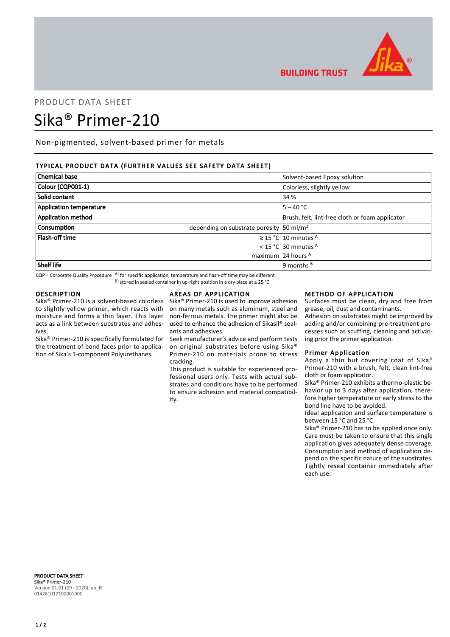

**BUILDING TRUST** 

# PRODUCT DATA SHEET Sika® Primer-210

Non-pigmented, solvent-based primer for metals

## TYPICAL PRODUCT DATA (FURTHER VALUES SEE SAFETY DATA SHEET)

| <b>Chemical base</b>           | Solvent-based Epoxy solution                             |
|--------------------------------|----------------------------------------------------------|
| Colour (CQP001-1)              | Colorless, slightly yellow                               |
| Solid content                  | 34 %                                                     |
| <b>Application temperature</b> | $5 - 40 °C$                                              |
| <b>Application method</b>      | Brush, felt, lint-free cloth or foam applicator          |
| <b>Consumption</b>             | depending on substrate porosity $\frac{50 \text{ m}}{2}$ |
| <b>Flash-off time</b>          | $\geq$ 15 °C 10 minutes <sup>A</sup>                     |
|                                | < 15 °C 30 minutes $A$                                   |
|                                | maximum 24 hours $A$                                     |
| Shelf life                     | 9 months $B$                                             |

 $CQP$  = Corporate Quality Procedure  $AP$  for specific application, temperature and flash-off time may be different B) stored in sealed container in up-right position in a dry place at ≤ 25 °C

## DESCRIPTION

Sika® Primer-210 is a solvent-based colorless to slightly yellow primer, which reacts with moisture and forms a thin layer. This layer acts as a link between substrates and adhesives.

Sika® Primer-210 is specifically formulated for the treatment of bond faces prior to application of Sika's 1-component Polyurethanes.

## AREAS OF APPLICATION

Sika® Primer-210 is used to improve adhesion on many metals such as aluminum, steel and non-ferrous metals. The primer might also be used to enhance the adhesion of Sikasil® sealants and adhesives.

Seek manufacturer's advice and perform tests on original substrates before using Sika® Primer-210 on materials prone to stress cracking.

This product is suitable for experienced professional users only. Tests with actual substrates and conditions have to be performed to ensure adhesion and material compatibility.

### METHOD OF APPLICATION

Surfaces must be clean, dry and free from grease, oil, dust and contaminants.

Adhesion on substrates might be improved by adding and/or combining pre-treatment processes such as scuffing, cleaning and activating prior the primer application.

## Primer Application

Apply a thin but covering coat of Sika® Primer-210 with a brush, felt, clean lint-free cloth or foam applicator.

Sika® Primer-210 exhibits a thermo-plastic behavior up to 3 days after application, therefore higher temperature or early stress to the bond line have to be avoided.

Ideal application and surface temperature is between 15 °C and 25 °C.

Sika® Primer-210 has to be applied once only. Care must be taken to ensure that this single application gives adequately dense coverage. Consumption and method of application depend on the specific nature of the substrates. Tightly reseal container immediately after each use.

PRODUCT DATA SHEET Sika® Primer-210 Version 01.01 (09 - 2020), en\_IE 014761012100001000